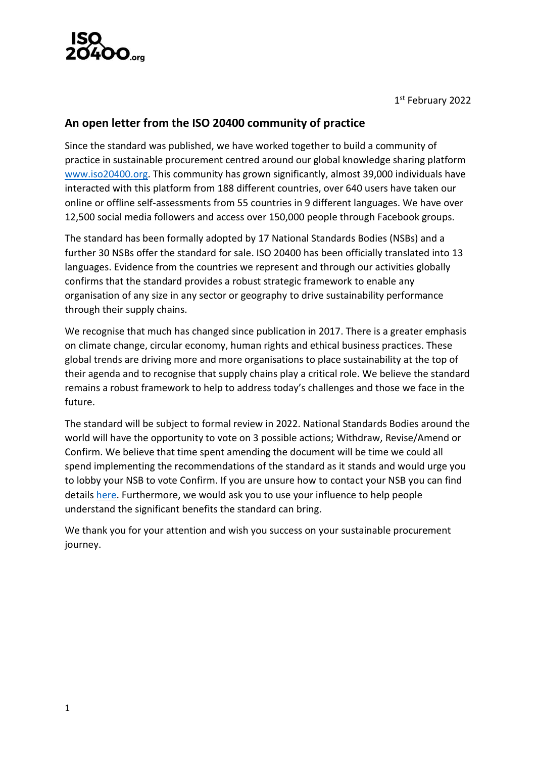

1 st February 2022

## **An open letter from the ISO 20400 community of practice**

Since the standard was published, we have worked together to build a community of practice in sustainable procurement centred around our global knowledge sharing platform [www.iso20400.org.](http://www.iso20400.org/) This community has grown significantly, almost 39,000 individuals have interacted with this platform from 188 different countries, over 640 users have taken our online or offline self-assessments from 55 countries in 9 different languages. We have over 12,500 social media followers and access over 150,000 people through Facebook groups.

The standard has been formally adopted by 17 National Standards Bodies (NSBs) and a further 30 NSBs offer the standard for sale. ISO 20400 has been officially translated into 13 languages. Evidence from the countries we represent and through our activities globally confirms that the standard provides a robust strategic framework to enable any organisation of any size in any sector or geography to drive sustainability performance through their supply chains.

We recognise that much has changed since publication in 2017. There is a greater emphasis on climate change, circular economy, human rights and ethical business practices. These global trends are driving more and more organisations to place sustainability at the top of their agenda and to recognise that supply chains play a critical role. We believe the standard remains a robust framework to help to address today's challenges and those we face in the future.

The standard will be subject to formal review in 2022. National Standards Bodies around the world will have the opportunity to vote on 3 possible actions; Withdraw, Revise/Amend or Confirm. We believe that time spent amending the document will be time we could all spend implementing the recommendations of the standard as it stands and would urge you to lobby your NSB to vote Confirm. If you are unsure how to contact your NSB you can find details [here.](https://www.iso.org/members.html) Furthermore, we would ask you to use your influence to help people understand the significant benefits the standard can bring.

We thank you for your attention and wish you success on your sustainable procurement journey.